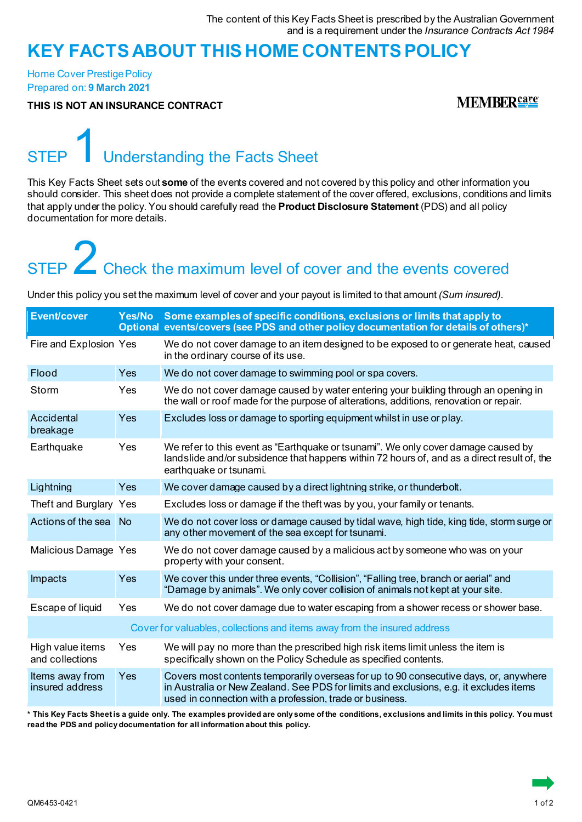### **KEY FACTS ABOUT THIS HOME CONTENTSPOLICY**

Home Cover Prestige Policy Prepared on: **9 March 2021**

**THIS IS NOT AN INSURANCE CONTRACT**

**MEMBER**<sup>care</sup>

## Understanding the Facts Sheet

This Key Facts Sheet sets out **some** of the events covered and not covered by this policy and other information you should consider. This sheet does not provide a complete statement of the cover offered, exclusions, conditions and limits that apply under the policy. You should carefully read the **Product Disclosure Statement** (PDS) and all policy documentation for more details.

# STEP  $\overline{\phantom{1}}$  Check the maximum level of cover and the events covered

Under this policy you set the maximum level of cover and your payout is limited to that amount *(Sum insured)*.

| <b>Event/cover</b>                  | Yes/No    | Some examples of specific conditions, exclusions or limits that apply to<br>Optional events/covers (see PDS and other policy documentation for details of others)*                                                                          |
|-------------------------------------|-----------|---------------------------------------------------------------------------------------------------------------------------------------------------------------------------------------------------------------------------------------------|
| Fire and Explosion Yes              |           | We do not cover damage to an item designed to be exposed to or generate heat, caused<br>in the ordinary course of its use.                                                                                                                  |
| Flood                               | Yes       | We do not cover damage to swimming pool or spa covers.                                                                                                                                                                                      |
| Storm                               | Yes       | We do not cover damage caused by water entering your building through an opening in<br>the wall or roof made for the purpose of alterations, additions, renovation or repair.                                                               |
| Accidental<br>breakage              | Yes       | Excludes loss or damage to sporting equipment whilst in use or play.                                                                                                                                                                        |
| Earthquake                          | Yes       | We refer to this event as "Earthquake or tsunami". We only cover damage caused by<br>landslide and/or subsidence that happens within 72 hours of, and as a direct result of, the<br>earthquake or tsunami.                                  |
| Lightning                           | Yes       | We cover damage caused by a direct lightning strike, or thunderbolt.                                                                                                                                                                        |
| Theft and Burglary Yes              |           | Excludes loss or damage if the theft was by you, your family or tenants.                                                                                                                                                                    |
| Actions of the sea                  | <b>No</b> | We do not cover loss or damage caused by tidal wave, high tide, king tide, storm surge or<br>any other movement of the sea except for tsunami.                                                                                              |
| Malicious Damage Yes                |           | We do not cover damage caused by a malicious act by someone who was on your<br>property with your consent.                                                                                                                                  |
| Impacts                             | Yes       | We cover this under three events, "Collision", "Falling tree, branch or aerial" and<br>"Damage by animals". We only cover collision of animals not kept at your site.                                                                       |
| Escape of liquid                    | Yes       | We do not cover damage due to water escaping from a shower recess or shower base.                                                                                                                                                           |
|                                     |           | Cover for valuables, collections and items away from the insured address                                                                                                                                                                    |
| High value items<br>and collections | Yes       | We will pay no more than the prescribed high risk items limit unless the item is<br>specifically shown on the Policy Schedule as specified contents.                                                                                        |
| Items away from<br>insured address  | Yes       | Covers most contents temporarily overseas for up to 90 consecutive days, or, anywhere<br>in Australia or New Zealand. See PDS for limits and exclusions, e.g. it excludes items<br>used in connection with a profession, trade or business. |

**\* This Key Facts Sheet is a guide only. The examples provided are only some of the conditions, exclusions and limits in this policy. You must read the PDS and policy documentation for all information about this policy.**